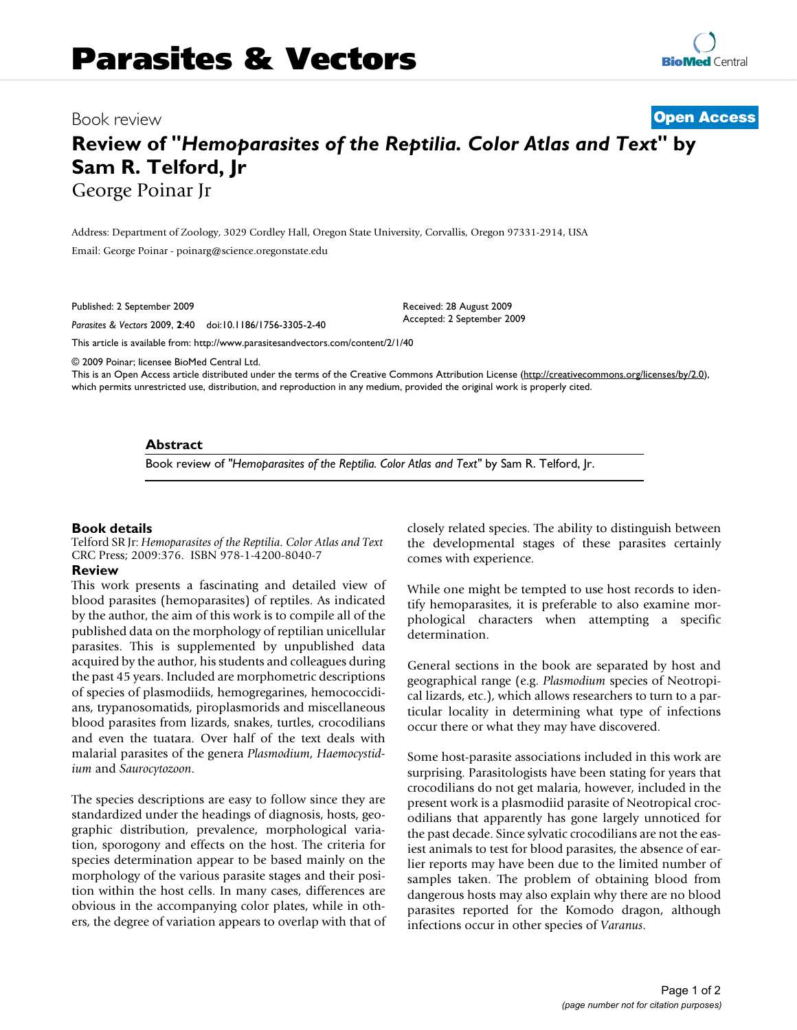## Book review

**[Open Access](http://www.biomedcentral.com/info/about/charter/)**

# **Review of "***Hemoparasites of the Reptilia. Color Atlas and Text***" by Sam R. Telford, Jr** George Poinar Jr

Address: Department of Zoology, 3029 Cordley Hall, Oregon State University, Corvallis, Oregon 97331-2914, USA Email: George Poinar - poinarg@science.oregonstate.edu

Published: 2 September 2009

*Parasites & Vectors* 2009, **2**:40 doi:10.1186/1756-3305-2-40

[This article is available from: http://www.parasitesandvectors.com/content/2/1/40](http://www.parasitesandvectors.com/content/2/1/40)

© 2009 Poinar; licensee BioMed Central Ltd.

This is an Open Access article distributed under the terms of the Creative Commons Attribution License [\(http://creativecommons.org/licenses/by/2.0\)](http://creativecommons.org/licenses/by/2.0), which permits unrestricted use, distribution, and reproduction in any medium, provided the original work is properly cited.

Received: 28 August 2009 Accepted: 2 September 2009

#### **Abstract**

Book review of *"Hemoparasites of the Reptilia. Color Atlas and Text"* by Sam R. Telford, Jr.

#### **Book details**

Telford SR Jr: *Hemoparasites of the Reptilia. Color Atlas and Text* CRC Press; 2009:376. ISBN 978-1-4200-8040-7

#### **Review**

This work presents a fascinating and detailed view of blood parasites (hemoparasites) of reptiles. As indicated by the author, the aim of this work is to compile all of the published data on the morphology of reptilian unicellular parasites. This is supplemented by unpublished data acquired by the author, his students and colleagues during the past 45 years. Included are morphometric descriptions of species of plasmodiids, hemogregarines, hemococcidians, trypanosomatids, piroplasmorids and miscellaneous blood parasites from lizards, snakes, turtles, crocodilians and even the tuatara. Over half of the text deals with malarial parasites of the genera *Plasmodium*, *Haemocystidium* and *Saurocytozoon*.

The species descriptions are easy to follow since they are standardized under the headings of diagnosis, hosts, geographic distribution, prevalence, morphological variation, sporogony and effects on the host. The criteria for species determination appear to be based mainly on the morphology of the various parasite stages and their position within the host cells. In many cases, differences are obvious in the accompanying color plates, while in others, the degree of variation appears to overlap with that of closely related species. The ability to distinguish between the developmental stages of these parasites certainly comes with experience.

While one might be tempted to use host records to identify hemoparasites, it is preferable to also examine morphological characters when attempting a specific determination.

General sections in the book are separated by host and geographical range (e.g. *Plasmodium* species of Neotropical lizards, etc.), which allows researchers to turn to a particular locality in determining what type of infections occur there or what they may have discovered.

Some host-parasite associations included in this work are surprising. Parasitologists have been stating for years that crocodilians do not get malaria, however, included in the present work is a plasmodiid parasite of Neotropical crocodilians that apparently has gone largely unnoticed for the past decade. Since sylvatic crocodilians are not the easiest animals to test for blood parasites, the absence of earlier reports may have been due to the limited number of samples taken. The problem of obtaining blood from dangerous hosts may also explain why there are no blood parasites reported for the Komodo dragon, although infections occur in other species of *Varanus*.